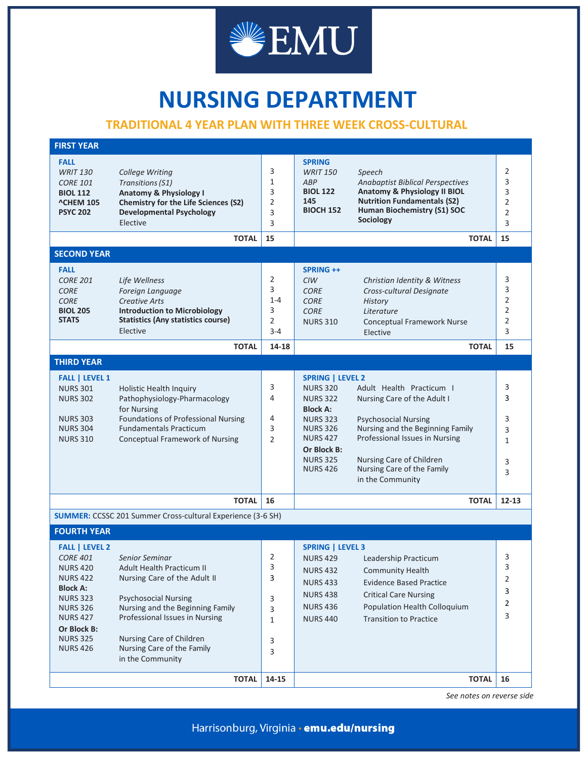

## **NURSING DEPARTMENT**

## **TRADITIONAL 4 YEAR PLAN WITH THREE WEEK CROSS-CULTURAL**

| <b>FIRST YEAR</b>                                                                                                                                                                                               |                                                                                                                                                                                                                                                                |                                                 |                                                                                                                                                                                                                                                                                                                                                                                                                                              |                                               |
|-----------------------------------------------------------------------------------------------------------------------------------------------------------------------------------------------------------------|----------------------------------------------------------------------------------------------------------------------------------------------------------------------------------------------------------------------------------------------------------------|-------------------------------------------------|----------------------------------------------------------------------------------------------------------------------------------------------------------------------------------------------------------------------------------------------------------------------------------------------------------------------------------------------------------------------------------------------------------------------------------------------|-----------------------------------------------|
| <b>FALL</b><br><b>WRIT 130</b><br><b>CORE 101</b><br><b>BIOL 112</b><br><b>^CHEM 105</b><br><b>PSYC 202</b>                                                                                                     | College Writing<br>Transitions (S1)<br><b>Anatomy &amp; Physiology I</b><br><b>Chemistry for the Life Sciences (S2)</b><br><b>Developmental Psychology</b><br>Elective                                                                                         | 3<br>1<br>3<br>2<br>3<br>3                      | <b>SPRING</b><br><b>WRIT 150</b><br>Speech<br>ABP<br><b>Anabaptist Biblical Perspectives</b><br>Anatomy & Physiology II BIOL<br><b>BIOL 122</b><br><b>Nutrition Fundamentals (S2)</b><br>145<br>Human Biochemistry (S1) SOC<br><b>BIOCH 152</b><br>Sociology                                                                                                                                                                                 | 2<br>3<br>3<br>2<br>$\overline{2}$<br>3       |
|                                                                                                                                                                                                                 | <b>TOTAL</b>                                                                                                                                                                                                                                                   | 15                                              | <b>TOTAL</b>                                                                                                                                                                                                                                                                                                                                                                                                                                 | 15                                            |
| <b>SECOND YEAR</b>                                                                                                                                                                                              |                                                                                                                                                                                                                                                                |                                                 |                                                                                                                                                                                                                                                                                                                                                                                                                                              |                                               |
| <b>FALL</b><br><b>CORE 201</b><br><b>CORE</b><br><b>CORE</b><br><b>BIOL 205</b><br><b>STATS</b>                                                                                                                 | Life Wellness<br>Foreign Language<br><b>Creative Arts</b><br><b>Introduction to Microbiology</b><br><b>Statistics (Any statistics course)</b><br>Elective<br><b>TOTAL</b>                                                                                      | 2<br>3<br>$1 - 4$<br>3<br>2<br>$3 - 4$<br>14-18 | SPRING ++<br><b>CIW</b><br>Christian Identity & Witness<br><b>CORE</b><br>Cross-cultural Designate<br><b>CORE</b><br><b>History</b><br><b>CORE</b><br>Literature<br><b>NURS 310</b><br><b>Conceptual Framework Nurse</b><br>Elective<br><b>TOTAL</b>                                                                                                                                                                                         | 3<br>3<br>2<br>$\overline{2}$<br>2<br>3<br>15 |
| <b>THIRD YEAR</b>                                                                                                                                                                                               |                                                                                                                                                                                                                                                                |                                                 |                                                                                                                                                                                                                                                                                                                                                                                                                                              |                                               |
| <b>FALL   LEVEL 1</b><br><b>NURS 301</b><br><b>NURS 302</b><br><b>NURS 303</b><br><b>NURS 304</b><br><b>NURS 310</b>                                                                                            | Holistic Health Inquiry<br>Pathophysiology-Pharmacology<br>for Nursing<br><b>Foundations of Professional Nursing</b><br><b>Fundamentals Practicum</b><br><b>Conceptual Framework of Nursing</b>                                                                | 3<br>4<br>4<br>3<br>2                           | <b>SPRING   LEVEL 2</b><br><b>NURS 320</b><br>Adult Health Practicum I<br>Nursing Care of the Adult I<br><b>NURS 322</b><br><b>Block A:</b><br><b>NURS 323</b><br><b>Psychosocial Nursing</b><br>Nursing and the Beginning Family<br><b>NURS 326</b><br><b>NURS 427</b><br>Professional Issues in Nursing<br>Or Block B:<br><b>NURS 325</b><br>Nursing Care of Children<br>Nursing Care of the Family<br><b>NURS 426</b><br>in the Community | 3<br>3<br>3<br>3<br>1<br>3<br>3               |
|                                                                                                                                                                                                                 | <b>TOTAL</b>                                                                                                                                                                                                                                                   | 16                                              | <b>TOTAL</b>                                                                                                                                                                                                                                                                                                                                                                                                                                 | $12 - 13$                                     |
| <b>SUMMER:</b> CCSSC 201 Summer Cross-cultural Experience (3-6 SH)                                                                                                                                              |                                                                                                                                                                                                                                                                |                                                 |                                                                                                                                                                                                                                                                                                                                                                                                                                              |                                               |
| <b>FOURTH YEAR</b>                                                                                                                                                                                              |                                                                                                                                                                                                                                                                |                                                 |                                                                                                                                                                                                                                                                                                                                                                                                                                              |                                               |
| <b>FALL   LEVEL 2</b><br><b>CORE 401</b><br><b>NURS 420</b><br><b>NURS 422</b><br><b>Block A:</b><br><b>NURS 323</b><br><b>NURS 326</b><br><b>NURS 427</b><br>Or Block B:<br><b>NURS 325</b><br><b>NURS 426</b> | Senior Seminar<br>Adult Health Practicum II<br>Nursing Care of the Adult II<br><b>Psychosocial Nursing</b><br>Nursing and the Beginning Family<br>Professional Issues in Nursing<br>Nursing Care of Children<br>Nursing Care of the Family<br>in the Community | 2<br>3<br>3<br>3<br>3<br>1<br>3<br>3            | <b>SPRING   LEVEL 3</b><br><b>NURS 429</b><br>Leadership Practicum<br><b>NURS 432</b><br><b>Community Health</b><br><b>Evidence Based Practice</b><br><b>NURS 433</b><br><b>NURS 438</b><br><b>Critical Care Nursing</b><br><b>NURS 436</b><br>Population Health Colloquium<br><b>Transition to Practice</b><br><b>NURS 440</b>                                                                                                              | 3<br>3<br>2<br>3<br>2<br>3                    |
|                                                                                                                                                                                                                 | <b>TOTAL</b>                                                                                                                                                                                                                                                   | 14-15                                           | <b>TOTAL</b>                                                                                                                                                                                                                                                                                                                                                                                                                                 | 16                                            |

*See notes on reverse side*